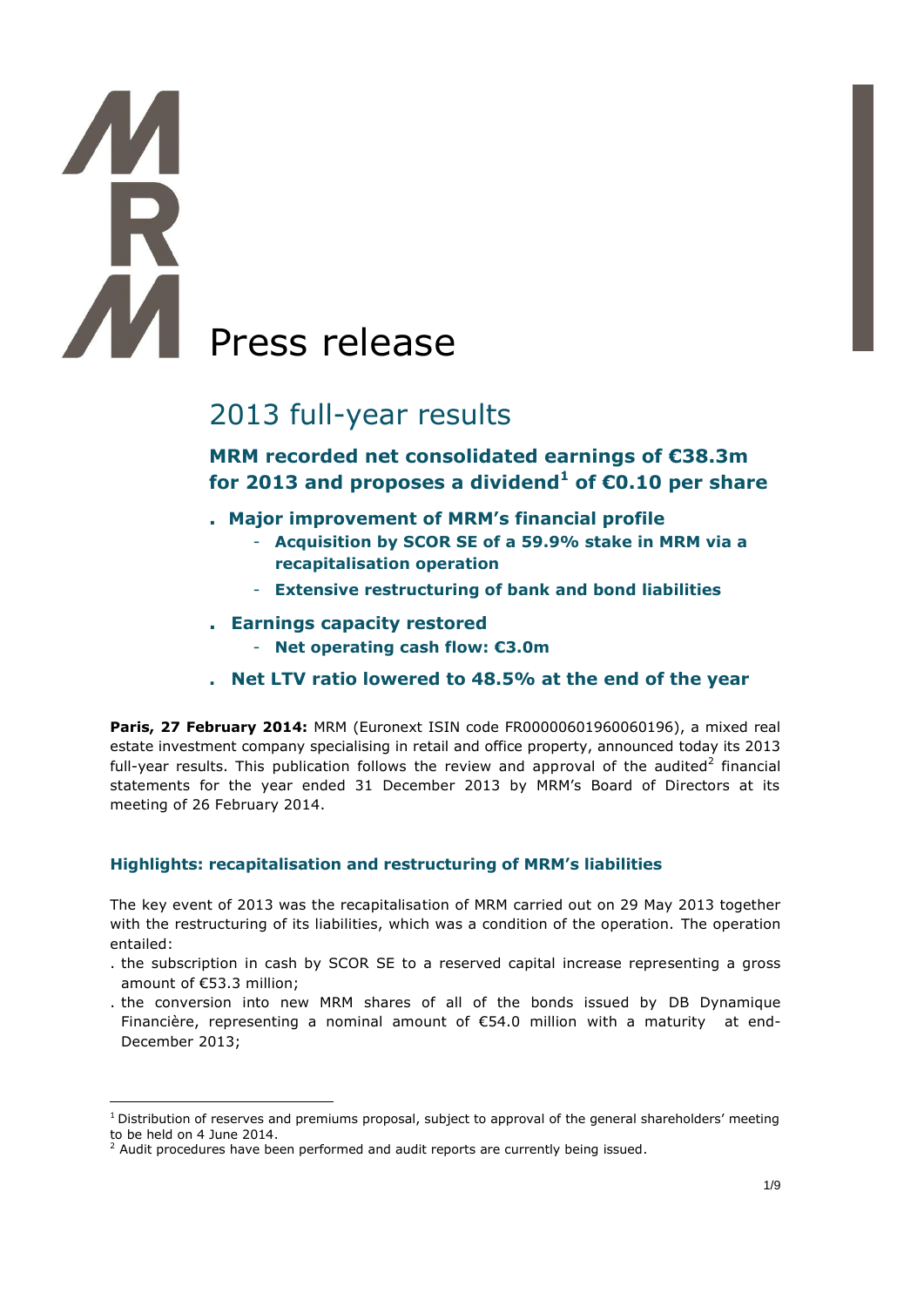# **AM** Press release

# 2013 full-year results

# **MRM recorded net consolidated earnings of €38.3m for 2013 and proposes a dividend<sup>1</sup> of €0.10 per share**

- **. Major improvement of MRM's financial profile** 
	- **Acquisition by SCOR SE of a 59.9% stake in MRM via a recapitalisation operation**
	- **Extensive restructuring of bank and bond liabilities**
- **. Earnings capacity restored**
	- **Net operating cash flow: €3.0m**
- **. Net LTV ratio lowered to 48.5% at the end of the year**

**Paris, 27 February 2014: MRM (Euronext ISIN code FR00000601960060196), a mixed real** estate investment company specialising in retail and office property, announced today its 2013 full-year results. This publication follows the review and approval of the audited<sup>2</sup> financial statements for the year ended 31 December 2013 by MRM's Board of Directors at its meeting of 26 February 2014.

# **Highlights: recapitalisation and restructuring of MRM's liabilities**

The key event of 2013 was the recapitalisation of MRM carried out on 29 May 2013 together with the restructuring of its liabilities, which was a condition of the operation. The operation entailed:

- . the subscription in cash by SCOR SE to a reserved capital increase representing a gross amount of €53.3 million;
- . the conversion into new MRM shares of all of the bonds issued by DB Dynamique Financière, representing a nominal amount of €54.0 million with a maturity at end-December 2013;

 $\overline{a}$ 

 $1$  Distribution of reserves and premiums proposal, subject to approval of the general shareholders' meeting to be held on 4 June 2014.

 $<sup>2</sup>$  Audit procedures have been performed and audit reports are currently being issued.</sup>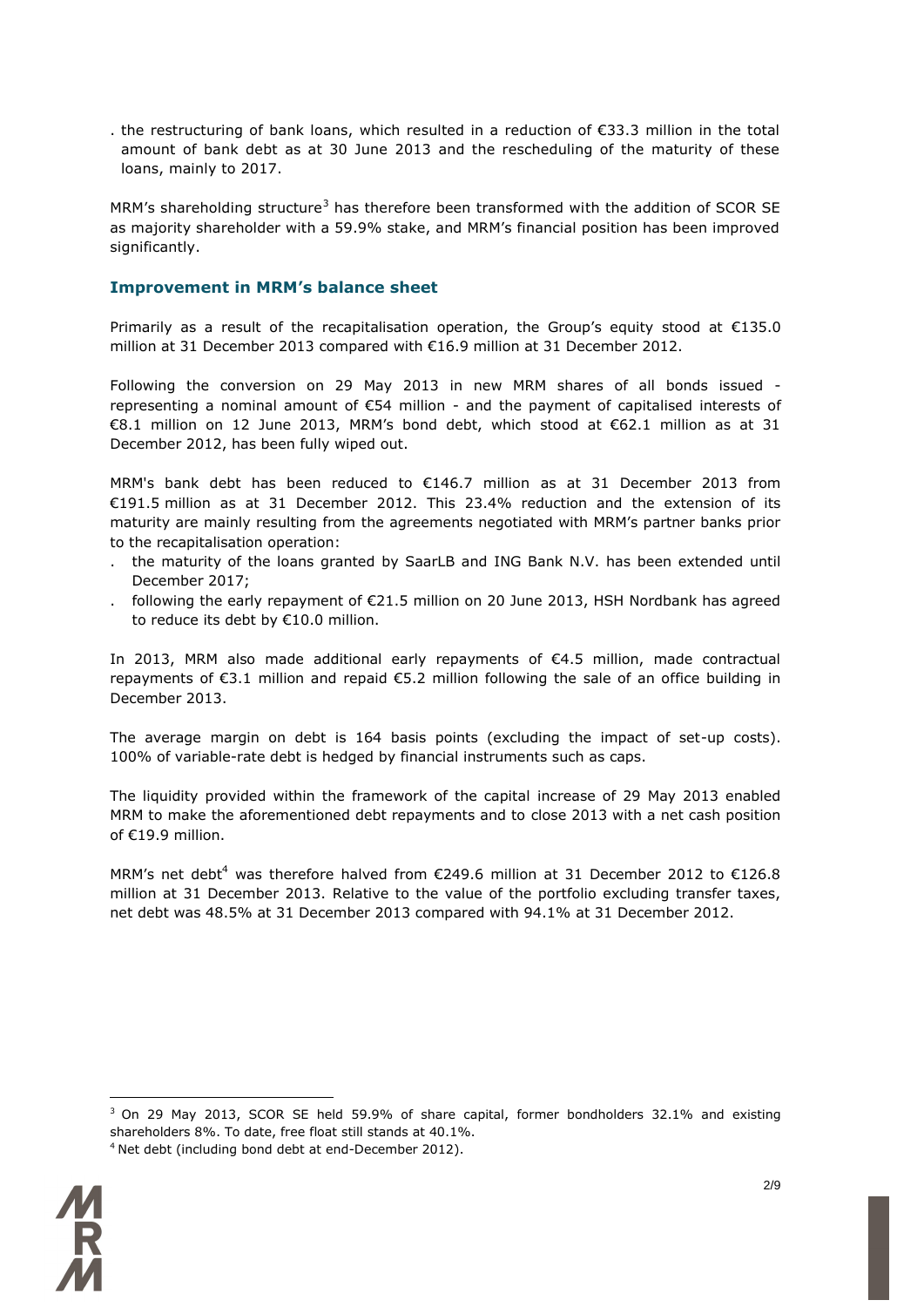. the restructuring of bank loans, which resulted in a reduction of €33.3 million in the total amount of bank debt as at 30 June 2013 and the rescheduling of the maturity of these loans, mainly to 2017.

MRM's shareholding structure<sup>3</sup> has therefore been transformed with the addition of SCOR SE as majority shareholder with a 59.9% stake, and MRM's financial position has been improved significantly.

#### **Improvement in MRM's balance sheet**

Primarily as a result of the recapitalisation operation, the Group's equity stood at €135.0 million at 31 December 2013 compared with €16.9 million at 31 December 2012.

Following the conversion on 29 May 2013 in new MRM shares of all bonds issued representing a nominal amount of €54 million - and the payment of capitalised interests of €8.1 million on 12 June 2013, MRM's bond debt, which stood at €62.1 million as at 31 December 2012, has been fully wiped out.

MRM's bank debt has been reduced to €146.7 million as at 31 December 2013 from €191.5 million as at 31 December 2012. This 23.4% reduction and the extension of its maturity are mainly resulting from the agreements negotiated with MRM's partner banks prior to the recapitalisation operation:

- . the maturity of the loans granted by SaarLB and ING Bank N.V. has been extended until December 2017;
- . following the early repayment of €21.5 million on 20 June 2013, HSH Nordbank has agreed to reduce its debt by €10.0 million.

In 2013, MRM also made additional early repayments of €4.5 million, made contractual repayments of €3.1 million and repaid €5.2 million following the sale of an office building in December 2013.

The average margin on debt is 164 basis points (excluding the impact of set-up costs). 100% of variable-rate debt is hedged by financial instruments such as caps.

The liquidity provided within the framework of the capital increase of 29 May 2013 enabled MRM to make the aforementioned debt repayments and to close 2013 with a net cash position of €19.9 million.

MRM's net debt<sup>4</sup> was therefore halved from €249.6 million at 31 December 2012 to €126.8 million at 31 December 2013. Relative to the value of the portfolio excluding transfer taxes, net debt was 48.5% at 31 December 2013 compared with 94.1% at 31 December 2012.

 $3$  On 29 May 2013, SCOR SE held 59.9% of share capital, former bondholders 32.1% and existing shareholders 8%. To date, free float still stands at 40.1%.





 $\overline{a}$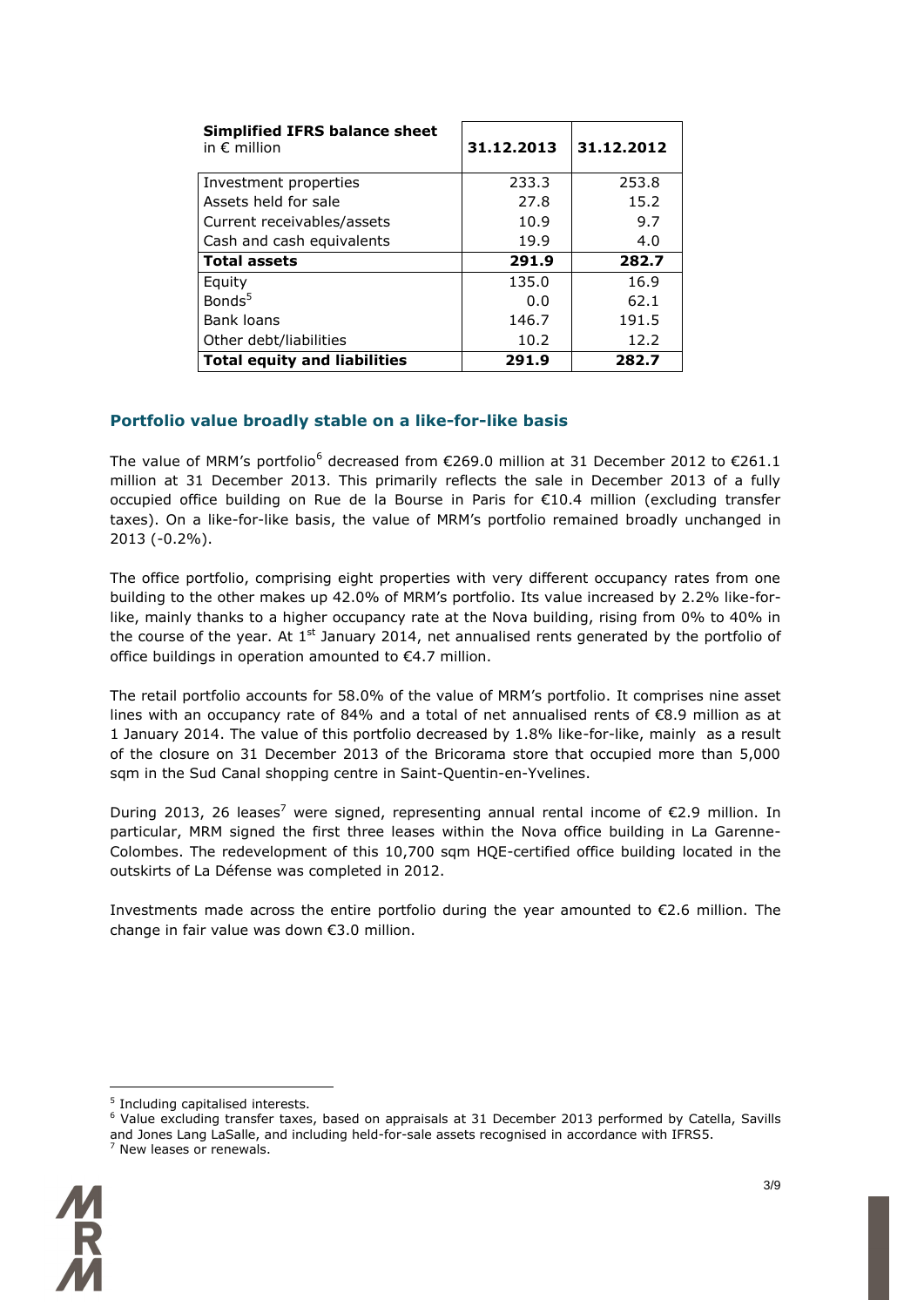| <b>Simplified IFRS balance sheet</b><br>in $\epsilon$ million | 31.12.2013 | 31.12.2012 |
|---------------------------------------------------------------|------------|------------|
| Investment properties                                         | 233.3      | 253.8      |
| Assets held for sale                                          | 27.8       | 15.2       |
| Current receivables/assets                                    | 10.9       | 9.7        |
| Cash and cash equivalents                                     | 19.9       | 4.0        |
| Total assets                                                  | 291.9      | 282.7      |
| Equity                                                        | 135.0      | 16.9       |
| Bonds <sup>5</sup>                                            | 0.0        | 62.1       |
| Bank loans                                                    | 146.7      | 191.5      |
| Other debt/liabilities                                        | 10.2       | 12.2       |
| <b>Total equity and liabilities</b>                           | 291.9      | 282.7      |

# **Portfolio value broadly stable on a like-for-like basis**

The value of MRM's portfolio<sup>6</sup> decreased from  $\epsilon$ 269.0 million at 31 December 2012 to  $\epsilon$ 261.1 million at 31 December 2013. This primarily reflects the sale in December 2013 of a fully occupied office building on Rue de la Bourse in Paris for €10.4 million (excluding transfer taxes). On a like-for-like basis, the value of MRM's portfolio remained broadly unchanged in 2013 (-0.2%).

The office portfolio, comprising eight properties with very different occupancy rates from one building to the other makes up 42.0% of MRM's portfolio. Its value increased by 2.2% like-forlike, mainly thanks to a higher occupancy rate at the Nova building, rising from 0% to 40% in the course of the year. At  $1<sup>st</sup>$  January 2014, net annualised rents generated by the portfolio of office buildings in operation amounted to €4.7 million.

The retail portfolio accounts for 58.0% of the value of MRM's portfolio. It comprises nine asset lines with an occupancy rate of 84% and a total of net annualised rents of €8.9 million as at 1 January 2014. The value of this portfolio decreased by 1.8% like-for-like, mainly as a result of the closure on 31 December 2013 of the Bricorama store that occupied more than 5,000 sqm in the Sud Canal shopping centre in Saint-Quentin-en-Yvelines.

During 2013, 26 leases<sup>7</sup> were signed, representing annual rental income of  $\epsilon$ 2.9 million. In particular, MRM signed the first three leases within the Nova office building in La Garenne-Colombes. The redevelopment of this 10,700 sqm HQE-certified office building located in the outskirts of La Défense was completed in 2012.

Investments made across the entire portfolio during the year amounted to €2.6 million. The change in fair value was down €3.0 million.

<sup>&</sup>lt;sup>6</sup> Value excluding transfer taxes, based on appraisals at 31 December 2013 performed by Catella, Savills and Jones Lang LaSalle, and including held-for-sale assets recognised in accordance with IFRS5.  $7$  New leases or renewals.



 $\overline{a}$ 

<sup>&</sup>lt;sup>5</sup> Including capitalised interests.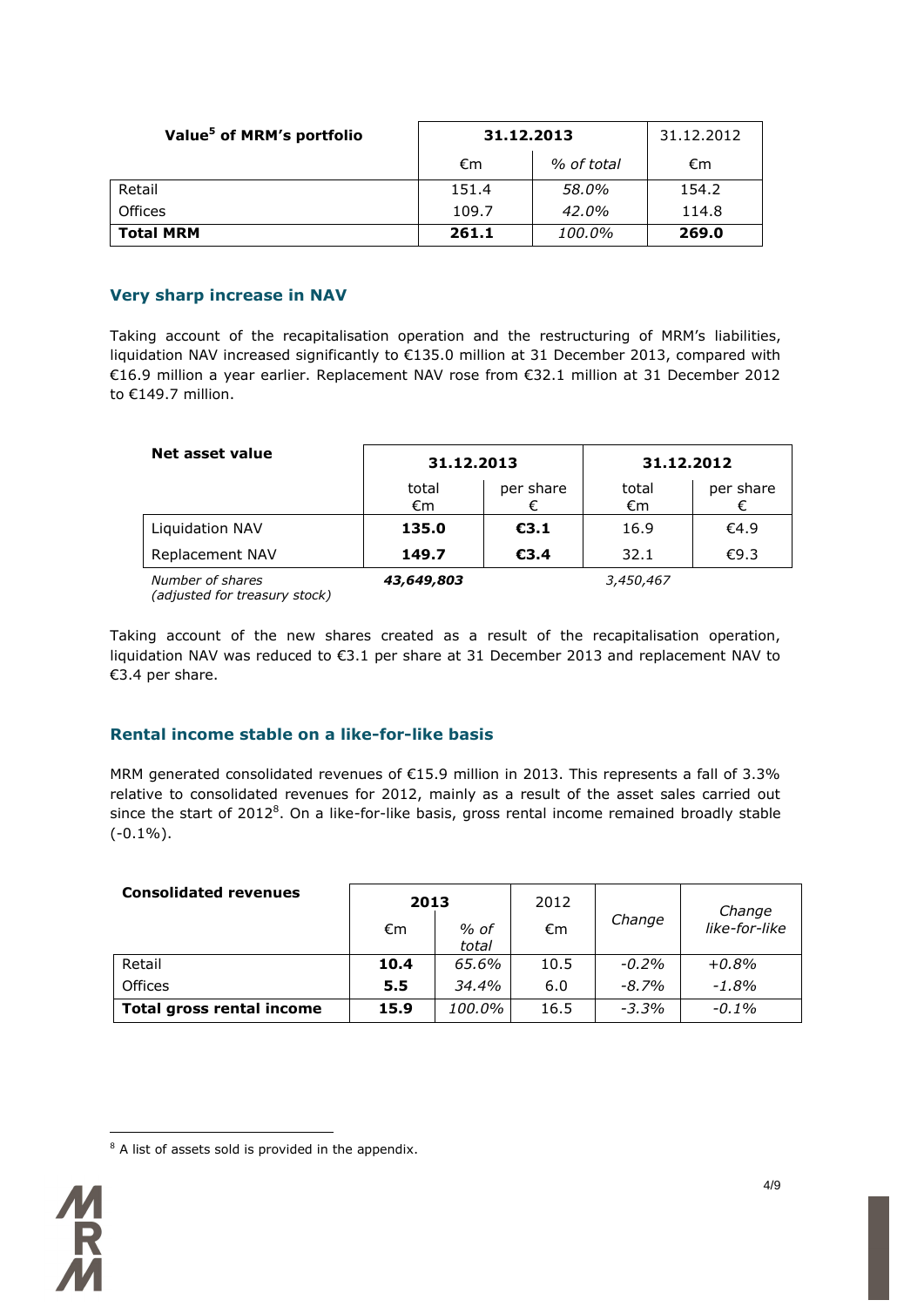| Value <sup>5</sup> of MRM's portfolio | 31.12.2013 | 31.12.2012 |       |
|---------------------------------------|------------|------------|-------|
|                                       | €m         | % of total | €m    |
| Retail                                | 151.4      | 58.0%      | 154.2 |
| <b>Offices</b>                        | 109.7      | 42.0%      | 114.8 |
| <b>Total MRM</b>                      | 261.1      | 100.0%     | 269.0 |

#### **Very sharp increase in NAV**

Taking account of the recapitalisation operation and the restructuring of MRM's liabilities, liquidation NAV increased significantly to €135.0 million at 31 December 2013, compared with €16.9 million a year earlier. Replacement NAV rose from €32.1 million at 31 December 2012 to €149.7 million.

| Net asset value        |             | 31.12.2013 |             | 31.12.2012 |
|------------------------|-------------|------------|-------------|------------|
|                        | total<br>€m | per share  | total<br>€m | per share  |
| <b>Liquidation NAV</b> | 135.0       | E3.1       | 16.9        | €4.9       |
| Replacement NAV        | 149.7       | €3.4       | 32.1        | €9.3       |
| Number of shares       | 43,649,803  |            | 3,450,467   |            |

*(adjusted for treasury stock)*

Taking account of the new shares created as a result of the recapitalisation operation, liquidation NAV was reduced to €3.1 per share at 31 December 2013 and replacement NAV to €3.4 per share.

# **Rental income stable on a like-for-like basis**

MRM generated consolidated revenues of €15.9 million in 2013. This represents a fall of 3.3% relative to consolidated revenues for 2012, mainly as a result of the asset sales carried out since the start of 2012<sup>8</sup>. On a like-for-like basis, gross rental income remained broadly stable  $(-0.1\%)$ .

| <b>Consolidated revenues</b> | 2013 |               | 2012 |         | Change        |
|------------------------------|------|---------------|------|---------|---------------|
|                              | €m   | % of<br>total | €m   | Change  | like-for-like |
| Retail                       | 10.4 | 65.6%         | 10.5 | $-0.2%$ | $+0.8%$       |
| <b>Offices</b>               | 5.5  | 34.4%         | 6.0  | $-8.7%$ | $-1.8%$       |
| Total gross rental income    | 15.9 | 100.0%        | 16.5 | $-3.3%$ | $-0.1\%$      |

 $\overline{a}$  $8$  A list of assets sold is provided in the appendix.

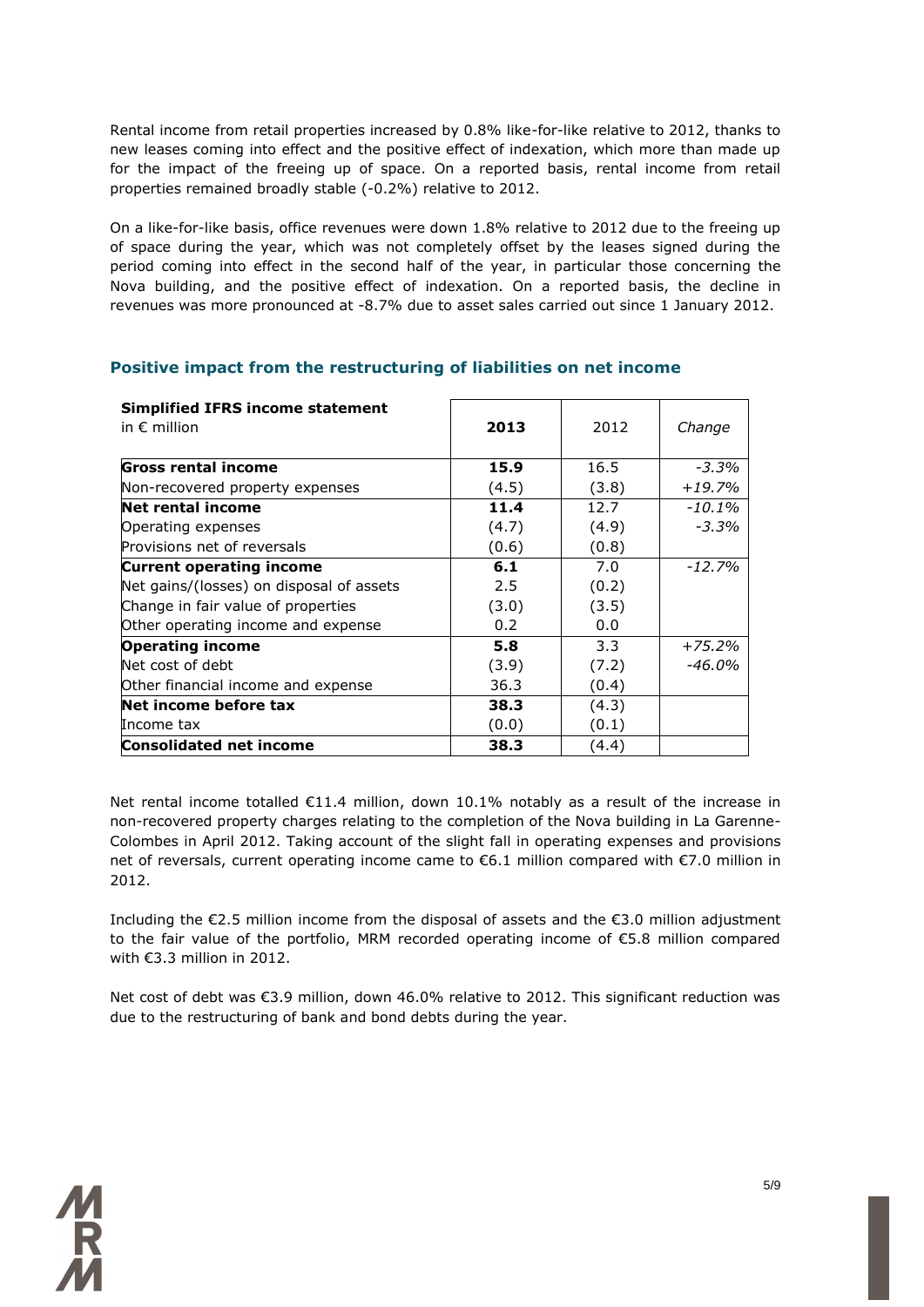Rental income from retail properties increased by 0.8% like-for-like relative to 2012, thanks to new leases coming into effect and the positive effect of indexation, which more than made up for the impact of the freeing up of space. On a reported basis, rental income from retail properties remained broadly stable (-0.2%) relative to 2012.

On a like-for-like basis, office revenues were down 1.8% relative to 2012 due to the freeing up of space during the year, which was not completely offset by the leases signed during the period coming into effect in the second half of the year, in particular those concerning the Nova building, and the positive effect of indexation. On a reported basis, the decline in revenues was more pronounced at -8.7% due to asset sales carried out since 1 January 2012.

| <b>Simplified IFRS income statement</b><br>in $\epsilon$ million | 2013  | 2012  | Change   |
|------------------------------------------------------------------|-------|-------|----------|
| Gross rental income                                              | 15.9  | 16.5  | $-3.3%$  |
| Non-recovered property expenses                                  | (4.5) | (3.8) | $+19.7%$ |
| Net rental income                                                | 11.4  | 12.7  | -10.1%   |
| Operating expenses                                               | (4.7) | (4.9) | $-3.3%$  |
| Provisions net of reversals                                      | (0.6) | (0.8) |          |
| <b>Current operating income</b>                                  | 6.1   | 7.0   | $-12.7%$ |
| Net gains/(losses) on disposal of assets                         | 2.5   | (0.2) |          |
| Change in fair value of properties                               | (3.0) | (3.5) |          |
| Other operating income and expense                               | 0.2   | 0.0   |          |
| <b>Operating income</b>                                          | 5.8   | 3.3   | $+75.2%$ |
| Net cost of debt                                                 | (3.9) | (7.2) | -46.0%   |
| Other financial income and expense                               | 36.3  | (0.4) |          |
| Net income before tax                                            | 38.3  | (4.3) |          |
| Income tax                                                       | (0.0) | (0.1) |          |
| Consolidated net income                                          | 38.3  | (4.4) |          |

#### **Positive impact from the restructuring of liabilities on net income**

Net rental income totalled €11.4 million, down 10.1% notably as a result of the increase in non-recovered property charges relating to the completion of the Nova building in La Garenne-Colombes in April 2012. Taking account of the slight fall in operating expenses and provisions net of reversals, current operating income came to €6.1 million compared with €7.0 million in 2012.

Including the €2.5 million income from the disposal of assets and the €3.0 million adjustment to the fair value of the portfolio, MRM recorded operating income of €5.8 million compared with €3.3 million in 2012.

Net cost of debt was €3.9 million, down 46.0% relative to 2012. This significant reduction was due to the restructuring of bank and bond debts during the year.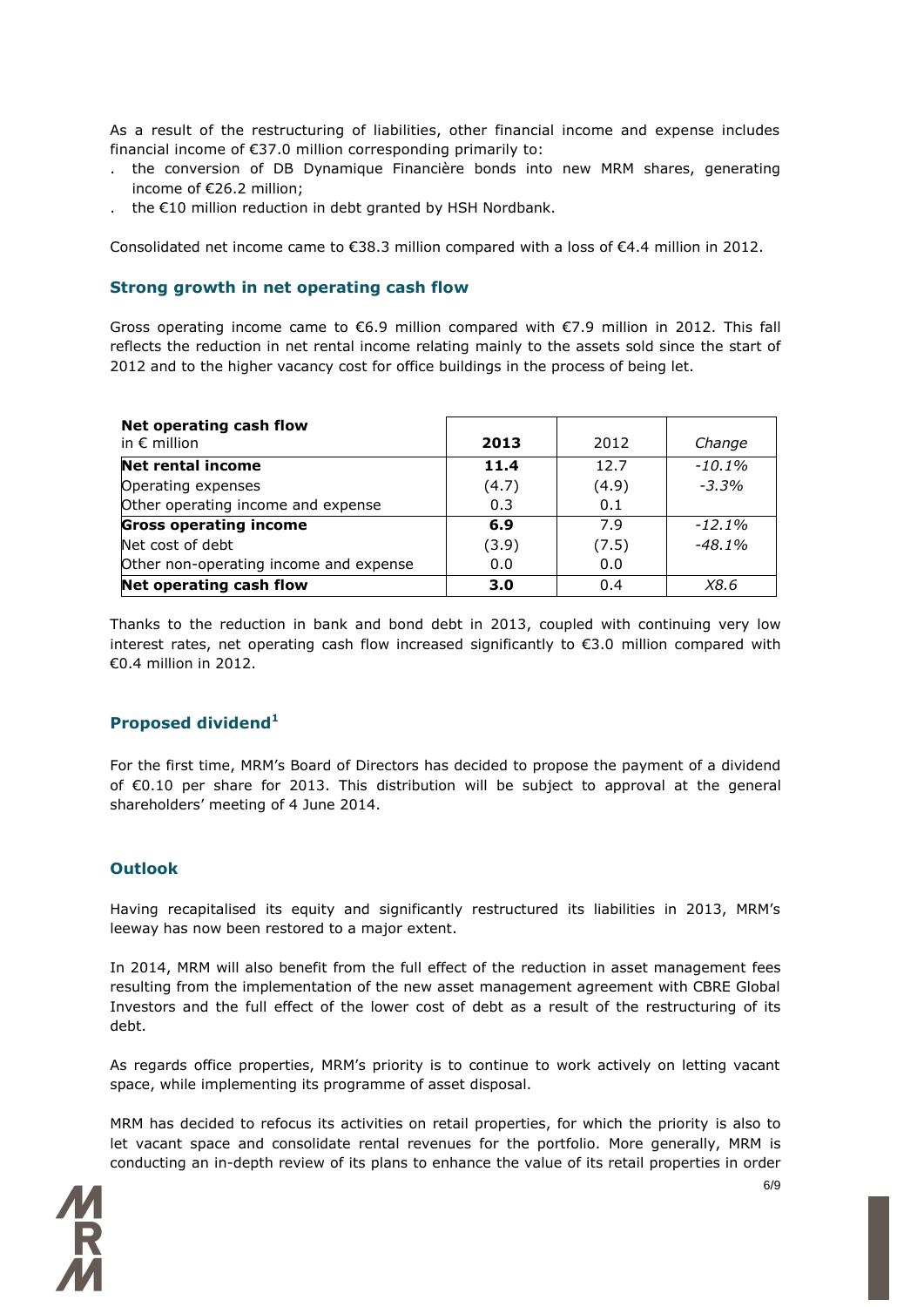As a result of the restructuring of liabilities, other financial income and expense includes financial income of €37.0 million corresponding primarily to:

- . the conversion of DB Dynamique Financière bonds into new MRM shares, generating income of €26.2 million;
- . the €10 million reduction in debt granted by HSH Nordbank.

Consolidated net income came to  $\epsilon$ 38.3 million compared with a loss of  $\epsilon$ 4.4 million in 2012.

#### **Strong growth in net operating cash flow**

Gross operating income came to €6.9 million compared with €7.9 million in 2012. This fall reflects the reduction in net rental income relating mainly to the assets sold since the start of 2012 and to the higher vacancy cost for office buildings in the process of being let.

| Net operating cash flow<br>in $\epsilon$ million | 2013  | 2012  | Change   |
|--------------------------------------------------|-------|-------|----------|
| <b>Net rental income</b>                         | 11.4  | 12.7  | $-10.1%$ |
| Operating expenses                               | (4.7) | (4.9) | $-3.3%$  |
| Other operating income and expense               | 0.3   | 0.1   |          |
| <b>Gross operating income</b>                    | 6.9   | 7.9   | $-12.1%$ |
| Net cost of debt                                 | (3.9) | (7.5) | $-48.1%$ |
| Other non-operating income and expense           | 0.0   | 0.0   |          |
| Net operating cash flow                          | 3.0   | 0.4   | X8.6     |

Thanks to the reduction in bank and bond debt in 2013, coupled with continuing very low interest rates, net operating cash flow increased significantly to €3.0 million compared with €0.4 million in 2012.

#### **Proposed dividend<sup>1</sup>**

For the first time, MRM's Board of Directors has decided to propose the payment of a dividend of €0.10 per share for 2013. This distribution will be subject to approval at the general shareholders' meeting of 4 June 2014.

#### **Outlook**

Having recapitalised its equity and significantly restructured its liabilities in 2013, MRM's leeway has now been restored to a major extent.

In 2014, MRM will also benefit from the full effect of the reduction in asset management fees resulting from the implementation of the new asset management agreement with CBRE Global Investors and the full effect of the lower cost of debt as a result of the restructuring of its debt.

As regards office properties, MRM's priority is to continue to work actively on letting vacant space, while implementing its programme of asset disposal.

MRM has decided to refocus its activities on retail properties, for which the priority is also to let vacant space and consolidate rental revenues for the portfolio. More generally, MRM is conducting an in-depth review of its plans to enhance the value of its retail properties in order

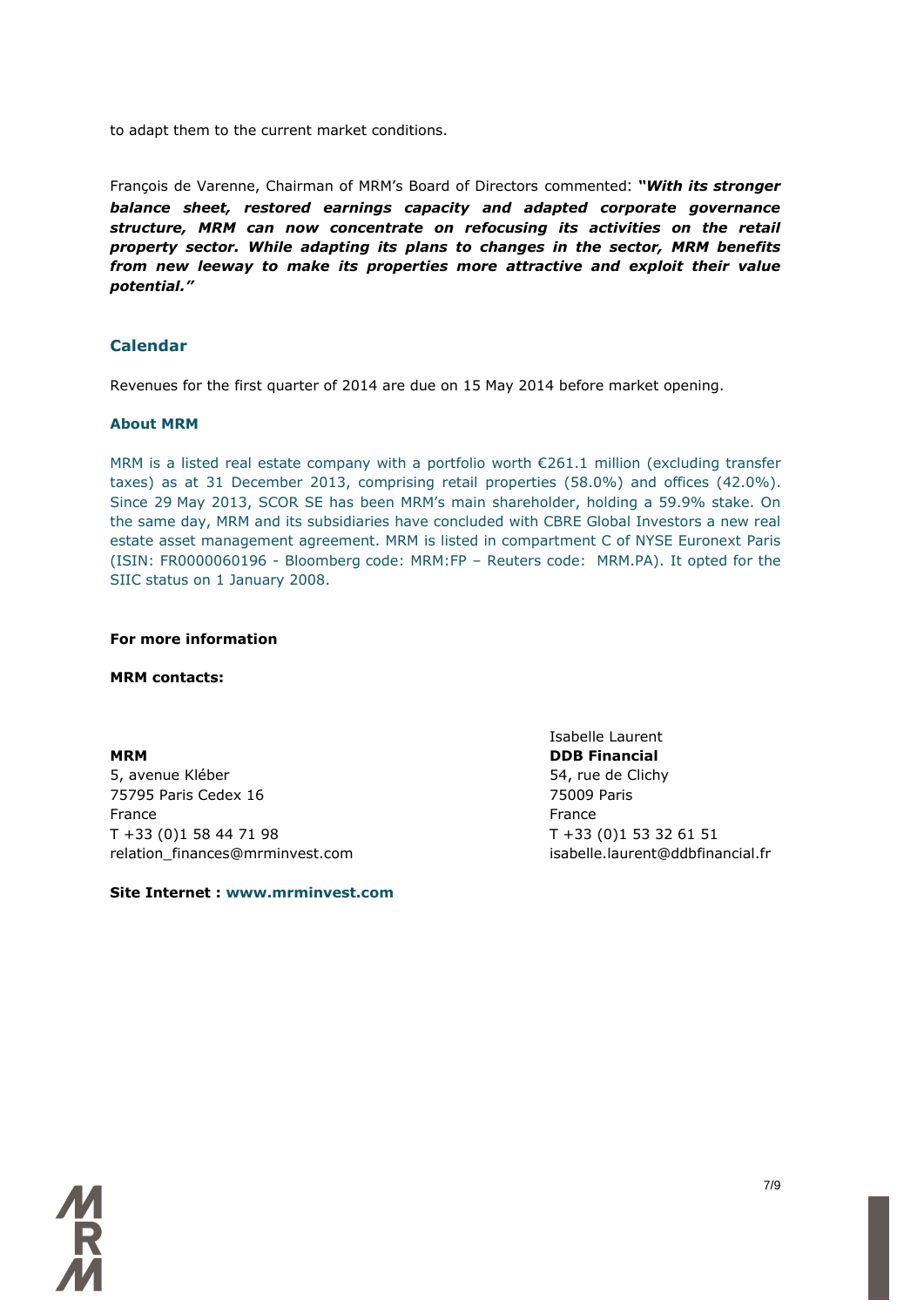to adapt them to the current market conditions.

François de Varenne, Chairman of MRM's Board of Directors commented: *"With its stronger balance sheet, restored earnings capacity and adapted corporate governance structure, MRM can now concentrate on refocusing its activities on the retail property sector. While adapting its plans to changes in the sector, MRM benefits from new leeway to make its properties more attractive and exploit their value potential."*

#### **Calendar**

Revenues for the first quarter of 2014 are due on 15 May 2014 before market opening.

#### **About MRM**

MRM is a listed real estate company with a portfolio worth  $\epsilon$ 261.1 million (excluding transfer taxes) as at 31 December 2013, comprising retail properties (58.0%) and offices (42.0%). Since 29 May 2013, SCOR SE has been MRM's main shareholder, holding a 59.9% stake. On the same day, MRM and its subsidiaries have concluded with CBRE Global Investors a new real estate asset management agreement. MRM is listed in compartment C of NYSE Euronext Paris (ISIN: FR0000060196 - Bloomberg code: MRM:FP – Reuters code: MRM.PA). It opted for the SIIC status on 1 January 2008.

#### **For more information**

**MRM contacts:**

**MRM DDB Financial** 5, avenue Kléber 54, rue de Clichy 75795 Paris Cedex 16 75009 Paris France **France France** T +33 (0)1 58 44 71 98 T +33 (0)1 53 32 61 51 relation finances@mrminvest.com isabelle.laurent@ddbfinancial.fr

**Site Internet : www.mrminvest.com**

Isabelle Laurent

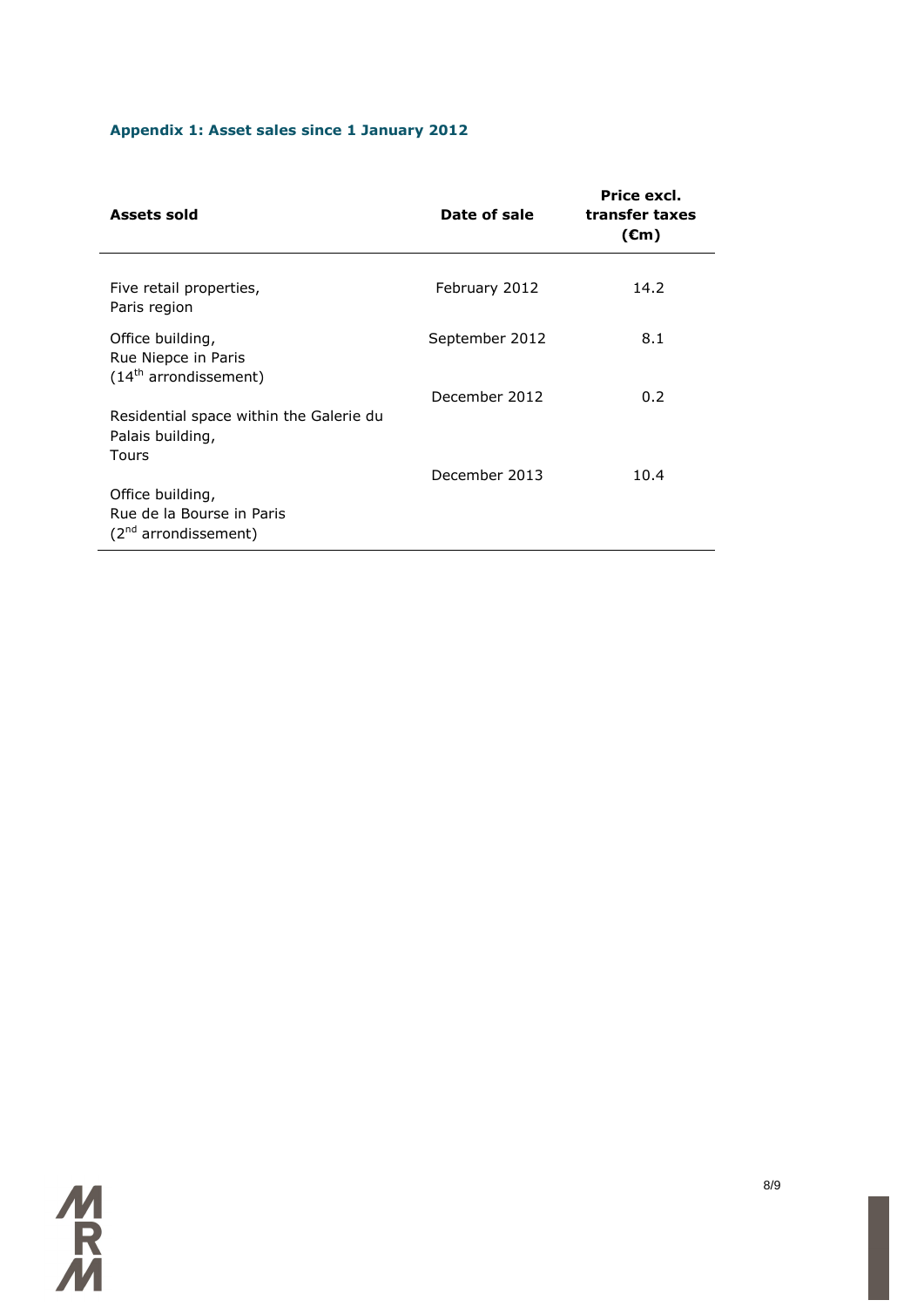# **Appendix 1: Asset sales since 1 January 2012**

| Assets sold                                                                       | Date of sale   | Price excl.<br>transfer taxes<br>$(\epsilon m)$ |
|-----------------------------------------------------------------------------------|----------------|-------------------------------------------------|
| Five retail properties,<br>Paris region                                           | February 2012  | 14.2                                            |
| Office building,<br>Rue Niepce in Paris<br>$(14th$ arrondissement)                | September 2012 | 8.1                                             |
| Residential space within the Galerie du<br>Palais building,<br><b>Tours</b>       | December 2012  | 0.2                                             |
| Office building,<br>Rue de la Bourse in Paris<br>(2 <sup>nd</sup> arrondissement) | December 2013  | 10.4                                            |